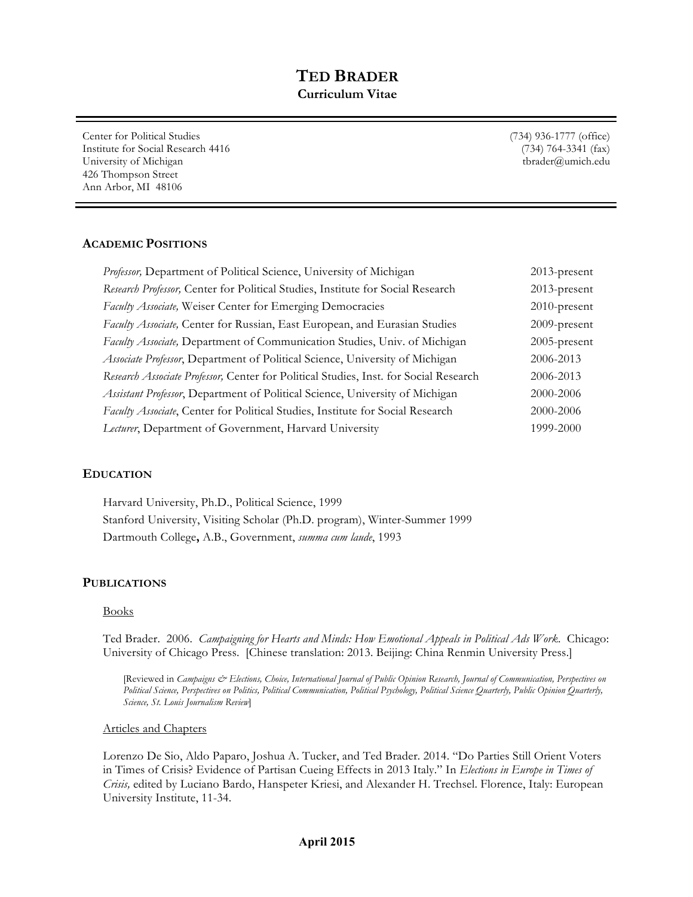# **TED BRADER Curriculum Vitae**

Center for Political Studies Institute for Social Research 4416 University of Michigan 426 Thompson Street Ann Arbor, MI 48106

(734) 936-1777 (office) (734) 764-3341 (fax) tbrader@umich.edu

### **ACADEMIC POSITIONS**

| Professor, Department of Political Science, University of Michigan                    | $2013$ -present |
|---------------------------------------------------------------------------------------|-----------------|
| Research Professor, Center for Political Studies, Institute for Social Research       | $2013$ -present |
| Faculty Associate, Weiser Center for Emerging Democracies                             | $2010$ -present |
| Faculty Associate, Center for Russian, East European, and Eurasian Studies            | 2009-present    |
| Faculty Associate, Department of Communication Studies, Univ. of Michigan             | $2005$ -present |
| Associate Professor, Department of Political Science, University of Michigan          | 2006-2013       |
| Research Associate Professor, Center for Political Studies, Inst. for Social Research | 2006-2013       |
| Assistant Professor, Department of Political Science, University of Michigan          | 2000-2006       |
| Faculty Associate, Center for Political Studies, Institute for Social Research        | 2000-2006       |
| Lecturer, Department of Government, Harvard University                                | 1999-2000       |

#### **EDUCATION**

Harvard University, Ph.D., Political Science, 1999 Stanford University, Visiting Scholar (Ph.D. program), Winter-Summer 1999 Dartmouth College**,** A.B., Government, *summa cum laude*, 1993

#### **PUBLICATIONS**

#### Books

Ted Brader. 2006. *Campaigning for Hearts and Minds: How Emotional Appeals in Political Ads Work*. Chicago: University of Chicago Press. [Chinese translation: 2013. Beijing: China Renmin University Press.]

[Reviewed in *Campaigns & Elections, Choice, International Journal of Public Opinion Research, Journal of Communication, Perspectives on Political Science, Perspectives on Politics, Political Communication, Political Psychology, Political Science Quarterly, Public Opinion Quarterly, Science, St. Louis Journalism Review*]

#### Articles and Chapters

Lorenzo De Sio, Aldo Paparo, Joshua A. Tucker, and Ted Brader. 2014. "Do Parties Still Orient Voters in Times of Crisis? Evidence of Partisan Cueing Effects in 2013 Italy." In *Elections in Europe in Times of Crisis,* edited by Luciano Bardo, Hanspeter Kriesi, and Alexander H. Trechsel. Florence, Italy: European University Institute, 11-34.

#### **April 2015**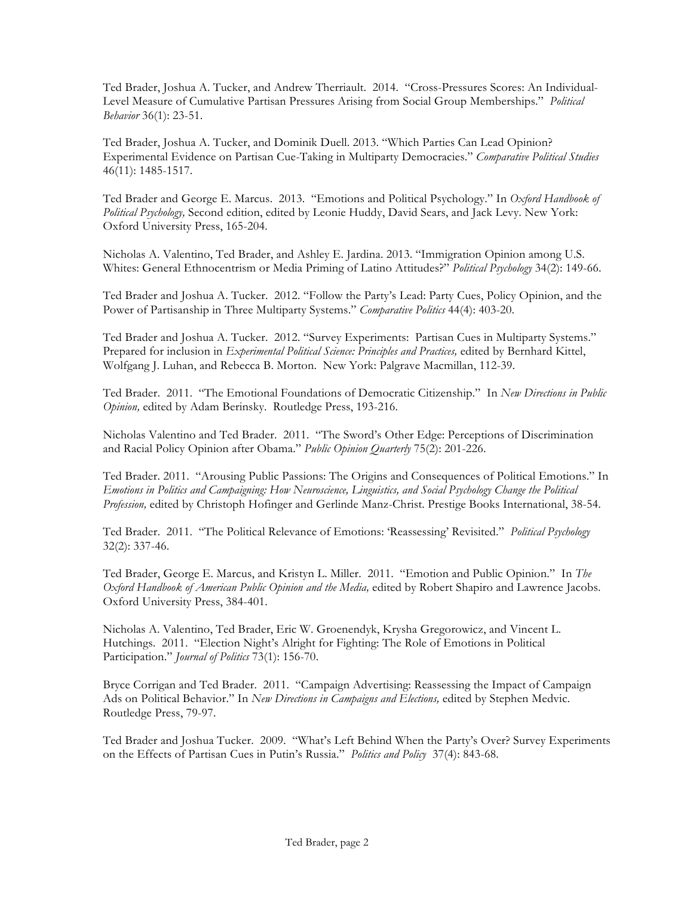Ted Brader, Joshua A. Tucker, and Andrew Therriault. 2014. "Cross-Pressures Scores: An Individual-Level Measure of Cumulative Partisan Pressures Arising from Social Group Memberships." *Political Behavior* 36(1): 23-51.

Ted Brader, Joshua A. Tucker, and Dominik Duell. 2013. "Which Parties Can Lead Opinion? Experimental Evidence on Partisan Cue-Taking in Multiparty Democracies." *Comparative Political Studies* 46(11): 1485-1517.

Ted Brader and George E. Marcus. 2013. "Emotions and Political Psychology." In *Oxford Handbook of Political Psychology,* Second edition, edited by Leonie Huddy, David Sears, and Jack Levy. New York: Oxford University Press, 165-204.

Nicholas A. Valentino, Ted Brader, and Ashley E. Jardina. 2013. "Immigration Opinion among U.S. Whites: General Ethnocentrism or Media Priming of Latino Attitudes?" *Political Psychology* 34(2): 149-66.

Ted Brader and Joshua A. Tucker. 2012. "Follow the Party's Lead: Party Cues, Policy Opinion, and the Power of Partisanship in Three Multiparty Systems." *Comparative Politics* 44(4): 403-20.

Ted Brader and Joshua A. Tucker. 2012. "Survey Experiments: Partisan Cues in Multiparty Systems." Prepared for inclusion in *Experimental Political Science: Principles and Practices,* edited by Bernhard Kittel, Wolfgang J. Luhan, and Rebecca B. Morton. New York: Palgrave Macmillan, 112-39.

Ted Brader. 2011. "The Emotional Foundations of Democratic Citizenship." In *New Directions in Public Opinion,* edited by Adam Berinsky. Routledge Press, 193-216.

Nicholas Valentino and Ted Brader. 2011. "The Sword's Other Edge: Perceptions of Discrimination and Racial Policy Opinion after Obama." *Public Opinion Quarterly* 75(2): 201-226.

Ted Brader. 2011. "Arousing Public Passions: The Origins and Consequences of Political Emotions." In *Emotions in Politics and Campaigning: How Neuroscience, Linguistics, and Social Psychology Change the Political Profession,* edited by Christoph Hofinger and Gerlinde Manz-Christ. Prestige Books International, 38-54.

Ted Brader. 2011. "The Political Relevance of Emotions: 'Reassessing' Revisited." *Political Psychology*  32(2): 337-46.

Ted Brader, George E. Marcus, and Kristyn L. Miller. 2011. "Emotion and Public Opinion." In *The Oxford Handbook of American Public Opinion and the Media,* edited by Robert Shapiro and Lawrence Jacobs. Oxford University Press, 384-401.

Nicholas A. Valentino, Ted Brader, Eric W. Groenendyk, Krysha Gregorowicz, and Vincent L. Hutchings. 2011. "Election Night's Alright for Fighting: The Role of Emotions in Political Participation." *Journal of Politics* 73(1): 156-70.

Bryce Corrigan and Ted Brader. 2011. "Campaign Advertising: Reassessing the Impact of Campaign Ads on Political Behavior." In *New Directions in Campaigns and Elections,* edited by Stephen Medvic. Routledge Press, 79-97.

Ted Brader and Joshua Tucker. 2009. "What's Left Behind When the Party's Over? Survey Experiments on the Effects of Partisan Cues in Putin's Russia." *Politics and Policy* 37(4): 843-68.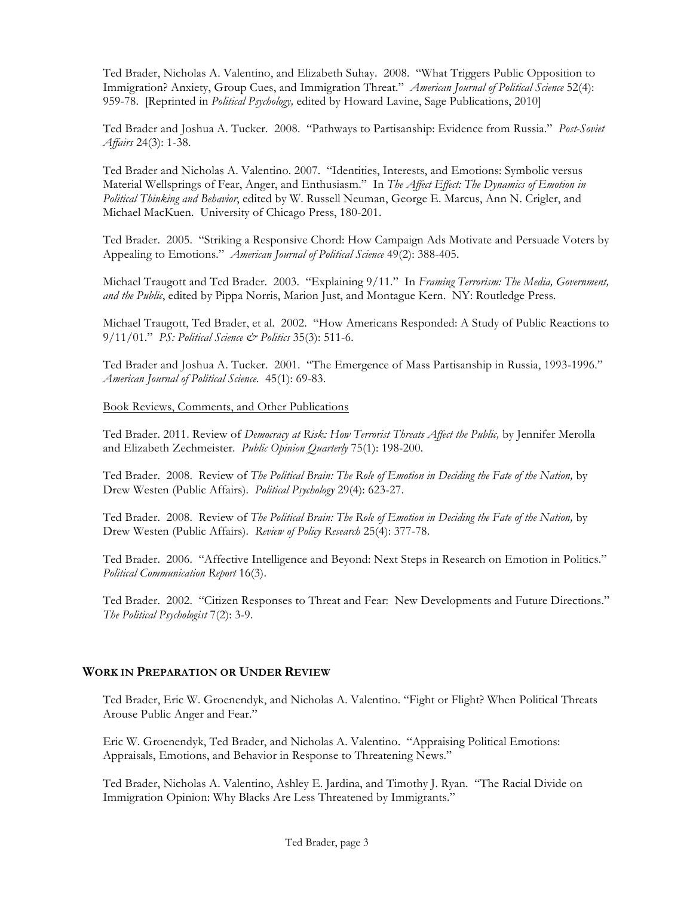Ted Brader, Nicholas A. Valentino, and Elizabeth Suhay. 2008. "What Triggers Public Opposition to Immigration? Anxiety, Group Cues, and Immigration Threat." *American Journal of Political Science* 52(4): 959-78. [Reprinted in *Political Psychology,* edited by Howard Lavine, Sage Publications, 2010]

Ted Brader and Joshua A. Tucker. 2008. "Pathways to Partisanship: Evidence from Russia." *Post-Soviet Affairs* 24(3): 1-38.

Ted Brader and Nicholas A. Valentino. 2007. "Identities, Interests, and Emotions: Symbolic versus Material Wellsprings of Fear, Anger, and Enthusiasm." In *The Affect Effect: The Dynamics of Emotion in Political Thinking and Behavior*, edited by W. Russell Neuman, George E. Marcus, Ann N. Crigler, and Michael MacKuen. University of Chicago Press, 180-201.

Ted Brader. 2005. "Striking a Responsive Chord: How Campaign Ads Motivate and Persuade Voters by Appealing to Emotions." *American Journal of Political Science* 49(2): 388-405.

Michael Traugott and Ted Brader. 2003. "Explaining 9/11." In *Framing Terrorism: The Media, Government, and the Public*, edited by Pippa Norris, Marion Just, and Montague Kern. NY: Routledge Press.

Michael Traugott, Ted Brader, et al. 2002. "How Americans Responded: A Study of Public Reactions to 9/11/01." *PS: Political Science & Politics* 35(3): 511-6.

Ted Brader and Joshua A. Tucker. 2001. "The Emergence of Mass Partisanship in Russia, 1993-1996." *American Journal of Political Science*. 45(1): 69-83.

#### Book Reviews, Comments, and Other Publications

Ted Brader. 2011. Review of *Democracy at Risk: How Terrorist Threats Affect the Public,* by Jennifer Merolla and Elizabeth Zechmeister. *Public Opinion Quarterly* 75(1): 198-200.

Ted Brader. 2008. Review of *The Political Brain: The Role of Emotion in Deciding the Fate of the Nation,* by Drew Westen (Public Affairs). *Political Psychology* 29(4): 623-27.

Ted Brader. 2008. Review of *The Political Brain: The Role of Emotion in Deciding the Fate of the Nation,* by Drew Westen (Public Affairs). *Review of Policy Research* 25(4): 377-78.

Ted Brader. 2006. "Affective Intelligence and Beyond: Next Steps in Research on Emotion in Politics." *Political Communication Report* 16(3).

Ted Brader. 2002. "Citizen Responses to Threat and Fear: New Developments and Future Directions." *The Political Psychologist* 7(2): 3-9.

#### **WORK IN PREPARATION OR UNDER REVIEW**

Ted Brader, Eric W. Groenendyk, and Nicholas A. Valentino. "Fight or Flight? When Political Threats Arouse Public Anger and Fear."

Eric W. Groenendyk, Ted Brader, and Nicholas A. Valentino. "Appraising Political Emotions: Appraisals, Emotions, and Behavior in Response to Threatening News."

Ted Brader, Nicholas A. Valentino, Ashley E. Jardina, and Timothy J. Ryan. "The Racial Divide on Immigration Opinion: Why Blacks Are Less Threatened by Immigrants."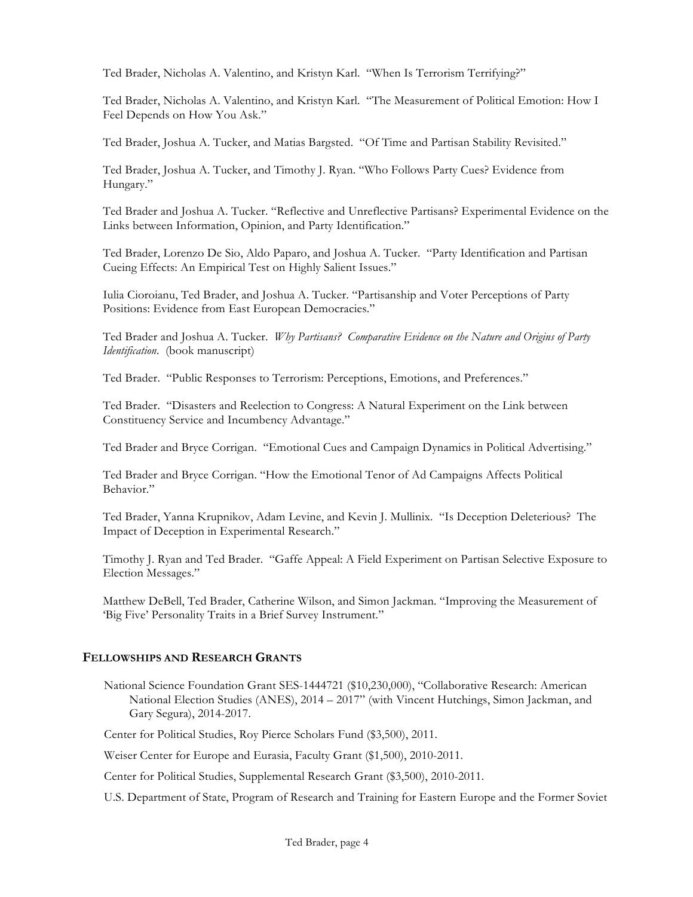Ted Brader, Nicholas A. Valentino, and Kristyn Karl. "When Is Terrorism Terrifying?"

Ted Brader, Nicholas A. Valentino, and Kristyn Karl. "The Measurement of Political Emotion: How I Feel Depends on How You Ask."

Ted Brader, Joshua A. Tucker, and Matias Bargsted. "Of Time and Partisan Stability Revisited."

Ted Brader, Joshua A. Tucker, and Timothy J. Ryan. "Who Follows Party Cues? Evidence from Hungary."

Ted Brader and Joshua A. Tucker. "Reflective and Unreflective Partisans? Experimental Evidence on the Links between Information, Opinion, and Party Identification."

Ted Brader, Lorenzo De Sio, Aldo Paparo, and Joshua A. Tucker. "Party Identification and Partisan Cueing Effects: An Empirical Test on Highly Salient Issues."

Iulia Cioroianu, Ted Brader, and Joshua A. Tucker. "Partisanship and Voter Perceptions of Party Positions: Evidence from East European Democracies."

Ted Brader and Joshua A. Tucker. *Why Partisans? Comparative Evidence on the Nature and Origins of Party Identification*. (book manuscript)

Ted Brader. "Public Responses to Terrorism: Perceptions, Emotions, and Preferences."

Ted Brader. "Disasters and Reelection to Congress: A Natural Experiment on the Link between Constituency Service and Incumbency Advantage."

Ted Brader and Bryce Corrigan. "Emotional Cues and Campaign Dynamics in Political Advertising."

Ted Brader and Bryce Corrigan. "How the Emotional Tenor of Ad Campaigns Affects Political Behavior."

Ted Brader, Yanna Krupnikov, Adam Levine, and Kevin J. Mullinix. "Is Deception Deleterious? The Impact of Deception in Experimental Research."

Timothy J. Ryan and Ted Brader. "Gaffe Appeal: A Field Experiment on Partisan Selective Exposure to Election Messages."

Matthew DeBell, Ted Brader, Catherine Wilson, and Simon Jackman. "Improving the Measurement of 'Big Five' Personality Traits in a Brief Survey Instrument."

## **FELLOWSHIPS AND RESEARCH GRANTS**

National Science Foundation Grant SES-1444721 (\$10,230,000), "Collaborative Research: American National Election Studies (ANES), 2014 – 2017" (with Vincent Hutchings, Simon Jackman, and Gary Segura), 2014-2017.

Center for Political Studies, Roy Pierce Scholars Fund (\$3,500), 2011.

Weiser Center for Europe and Eurasia, Faculty Grant (\$1,500), 2010-2011.

Center for Political Studies, Supplemental Research Grant (\$3,500), 2010-2011.

U.S. Department of State, Program of Research and Training for Eastern Europe and the Former Soviet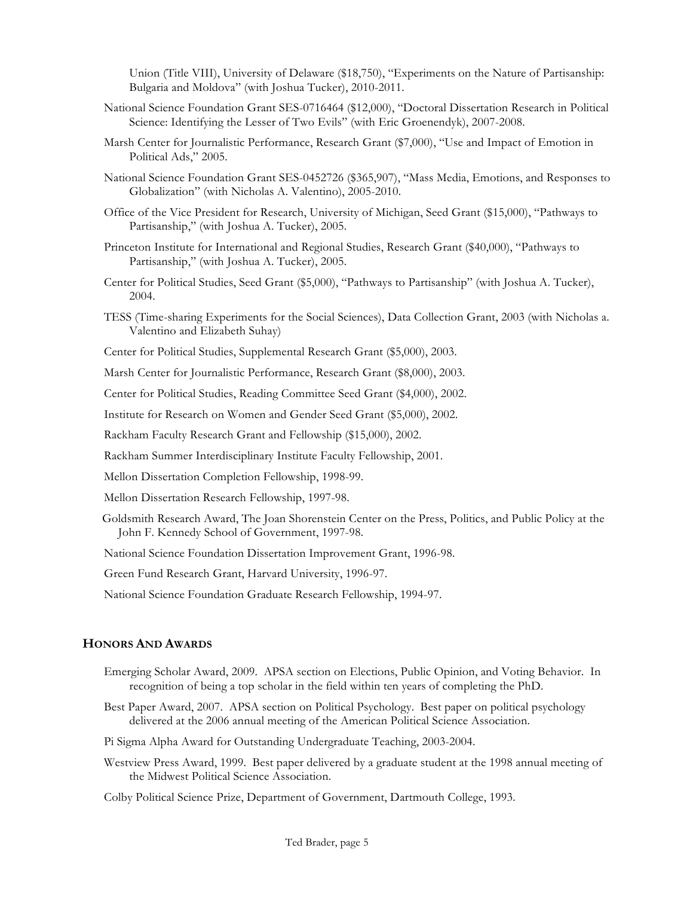Union (Title VIII), University of Delaware (\$18,750), "Experiments on the Nature of Partisanship: Bulgaria and Moldova" (with Joshua Tucker), 2010-2011.

- National Science Foundation Grant SES-0716464 (\$12,000), "Doctoral Dissertation Research in Political Science: Identifying the Lesser of Two Evils" (with Eric Groenendyk), 2007-2008.
- Marsh Center for Journalistic Performance, Research Grant (\$7,000), "Use and Impact of Emotion in Political Ads," 2005.
- National Science Foundation Grant SES-0452726 (\$365,907), "Mass Media, Emotions, and Responses to Globalization" (with Nicholas A. Valentino), 2005-2010.
- Office of the Vice President for Research, University of Michigan, Seed Grant (\$15,000), "Pathways to Partisanship," (with Joshua A. Tucker), 2005.
- Princeton Institute for International and Regional Studies, Research Grant (\$40,000), "Pathways to Partisanship," (with Joshua A. Tucker), 2005.
- Center for Political Studies, Seed Grant (\$5,000), "Pathways to Partisanship" (with Joshua A. Tucker), 2004.
- TESS (Time-sharing Experiments for the Social Sciences), Data Collection Grant, 2003 (with Nicholas a. Valentino and Elizabeth Suhay)
- Center for Political Studies, Supplemental Research Grant (\$5,000), 2003.

Marsh Center for Journalistic Performance, Research Grant (\$8,000), 2003.

Center for Political Studies, Reading Committee Seed Grant (\$4,000), 2002.

Institute for Research on Women and Gender Seed Grant (\$5,000), 2002.

Rackham Faculty Research Grant and Fellowship (\$15,000), 2002.

Rackham Summer Interdisciplinary Institute Faculty Fellowship, 2001.

Mellon Dissertation Completion Fellowship, 1998-99.

Mellon Dissertation Research Fellowship, 1997-98.

Goldsmith Research Award, The Joan Shorenstein Center on the Press, Politics, and Public Policy at the John F. Kennedy School of Government, 1997-98.

National Science Foundation Dissertation Improvement Grant, 1996-98.

Green Fund Research Grant, Harvard University, 1996-97.

National Science Foundation Graduate Research Fellowship, 1994-97.

#### **HONORS AND AWARDS**

- Emerging Scholar Award, 2009. APSA section on Elections, Public Opinion, and Voting Behavior. In recognition of being a top scholar in the field within ten years of completing the PhD.
- Best Paper Award, 2007. APSA section on Political Psychology. Best paper on political psychology delivered at the 2006 annual meeting of the American Political Science Association.

Pi Sigma Alpha Award for Outstanding Undergraduate Teaching, 2003-2004.

Westview Press Award, 1999. Best paper delivered by a graduate student at the 1998 annual meeting of the Midwest Political Science Association.

Colby Political Science Prize, Department of Government, Dartmouth College, 1993.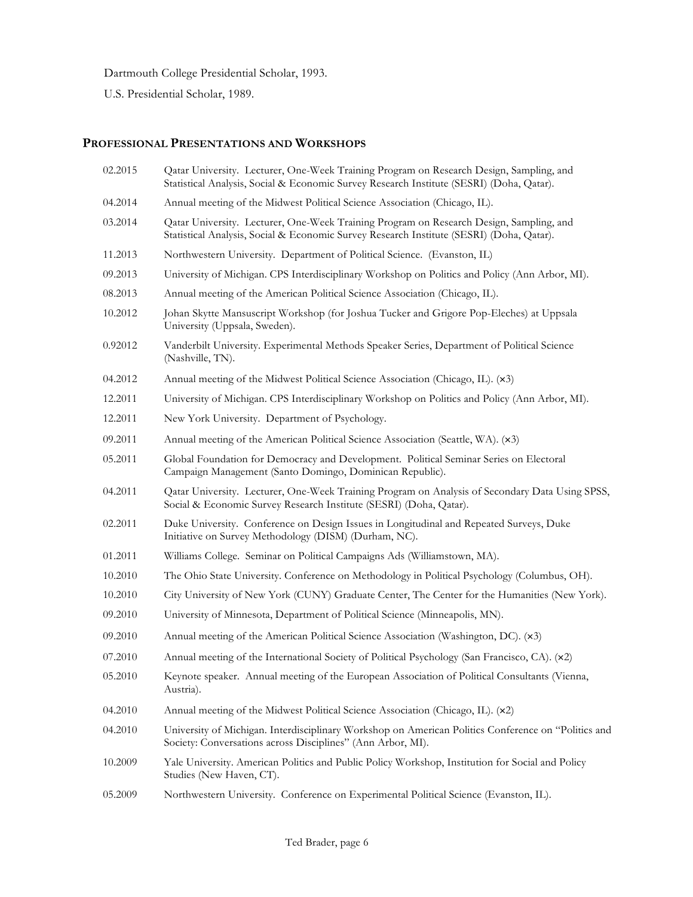Dartmouth College Presidential Scholar, 1993.

U.S. Presidential Scholar, 1989.

# **PROFESSIONAL PRESENTATIONS AND WORKSHOPS**

| 02.2015 | Qatar University. Lecturer, One-Week Training Program on Research Design, Sampling, and<br>Statistical Analysis, Social & Economic Survey Research Institute (SESRI) (Doha, Qatar). |
|---------|-------------------------------------------------------------------------------------------------------------------------------------------------------------------------------------|
| 04.2014 | Annual meeting of the Midwest Political Science Association (Chicago, IL).                                                                                                          |
| 03.2014 | Qatar University. Lecturer, One-Week Training Program on Research Design, Sampling, and<br>Statistical Analysis, Social & Economic Survey Research Institute (SESRI) (Doha, Qatar). |
| 11.2013 | Northwestern University. Department of Political Science. (Evanston, IL)                                                                                                            |
| 09.2013 | University of Michigan. CPS Interdisciplinary Workshop on Politics and Policy (Ann Arbor, MI).                                                                                      |
| 08.2013 | Annual meeting of the American Political Science Association (Chicago, IL).                                                                                                         |
| 10.2012 | Johan Skytte Mansuscript Workshop (for Joshua Tucker and Grigore Pop-Eleches) at Uppsala<br>University (Uppsala, Sweden).                                                           |
| 0.92012 | Vanderbilt University. Experimental Methods Speaker Series, Department of Political Science<br>(Nashville, TN).                                                                     |
| 04.2012 | Annual meeting of the Midwest Political Science Association (Chicago, IL). (x3)                                                                                                     |
| 12.2011 | University of Michigan. CPS Interdisciplinary Workshop on Politics and Policy (Ann Arbor, MI).                                                                                      |
| 12.2011 | New York University. Department of Psychology.                                                                                                                                      |
| 09.2011 | Annual meeting of the American Political Science Association (Seattle, WA). (x3)                                                                                                    |
| 05.2011 | Global Foundation for Democracy and Development. Political Seminar Series on Electoral<br>Campaign Management (Santo Domingo, Dominican Republic).                                  |
| 04.2011 | Qatar University. Lecturer, One-Week Training Program on Analysis of Secondary Data Using SPSS,<br>Social & Economic Survey Research Institute (SESRI) (Doha, Qatar).               |
| 02.2011 | Duke University. Conference on Design Issues in Longitudinal and Repeated Surveys, Duke<br>Initiative on Survey Methodology (DISM) (Durham, NC).                                    |
| 01.2011 | Williams College. Seminar on Political Campaigns Ads (Williamstown, MA).                                                                                                            |
| 10.2010 | The Ohio State University. Conference on Methodology in Political Psychology (Columbus, OH).                                                                                        |
| 10.2010 | City University of New York (CUNY) Graduate Center, The Center for the Humanities (New York).                                                                                       |
| 09.2010 | University of Minnesota, Department of Political Science (Minneapolis, MN).                                                                                                         |
| 09.2010 | Annual meeting of the American Political Science Association (Washington, DC). (x3)                                                                                                 |
| 07.2010 | Annual meeting of the International Society of Political Psychology (San Francisco, CA). (x2)                                                                                       |
| 05.2010 | Keynote speaker. Annual meeting of the European Association of Political Consultants (Vienna,<br>Austria).                                                                          |
| 04.2010 | Annual meeting of the Midwest Political Science Association (Chicago, IL). (x2)                                                                                                     |
| 04.2010 | University of Michigan. Interdisciplinary Workshop on American Politics Conference on "Politics and<br>Society: Conversations across Disciplines" (Ann Arbor, MI).                  |
| 10.2009 | Yale University. American Politics and Public Policy Workshop, Institution for Social and Policy<br>Studies (New Haven, CT).                                                        |
| 05.2009 | Northwestern University. Conference on Experimental Political Science (Evanston, IL).                                                                                               |
|         |                                                                                                                                                                                     |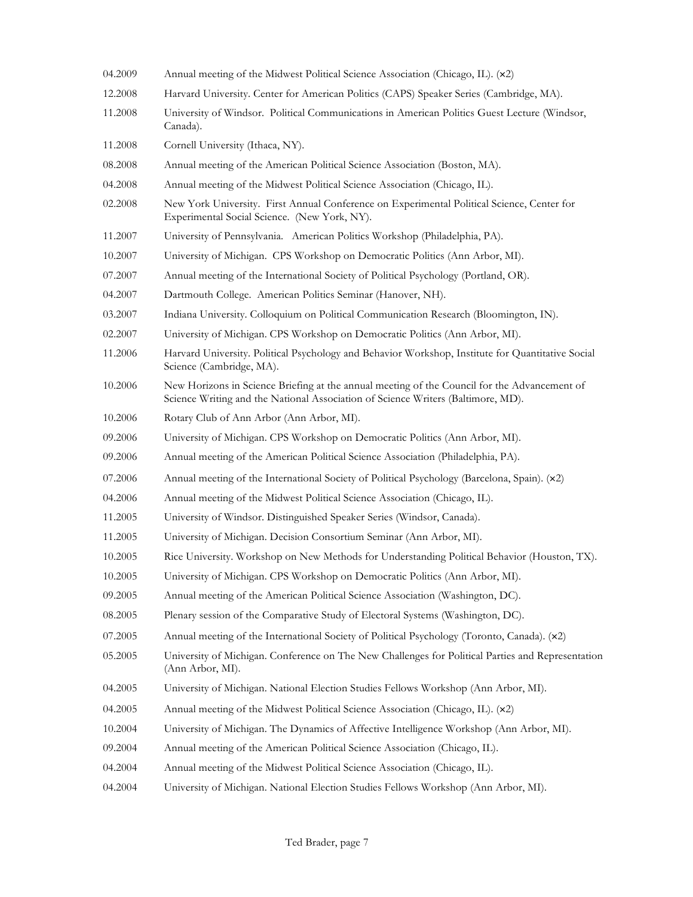- 04.2009 Annual meeting of the Midwest Political Science Association (Chicago, IL). (×2)
- 12.2008 Harvard University. Center for American Politics (CAPS) Speaker Series (Cambridge, MA).
- 11.2008 University of Windsor. Political Communications in American Politics Guest Lecture (Windsor, Canada).
- 11.2008 Cornell University (Ithaca, NY).
- 08.2008 Annual meeting of the American Political Science Association (Boston, MA).
- 04.2008 Annual meeting of the Midwest Political Science Association (Chicago, IL).
- 02.2008 New York University. First Annual Conference on Experimental Political Science, Center for Experimental Social Science. (New York, NY).
- 11.2007 University of Pennsylvania. American Politics Workshop (Philadelphia, PA).
- 10.2007 University of Michigan. CPS Workshop on Democratic Politics (Ann Arbor, MI).
- 07.2007 Annual meeting of the International Society of Political Psychology (Portland, OR).
- 04.2007 Dartmouth College. American Politics Seminar (Hanover, NH).
- 03.2007 Indiana University. Colloquium on Political Communication Research (Bloomington, IN).
- 02.2007 University of Michigan. CPS Workshop on Democratic Politics (Ann Arbor, MI).
- 11.2006 Harvard University. Political Psychology and Behavior Workshop, Institute for Quantitative Social Science (Cambridge, MA).
- 10.2006 New Horizons in Science Briefing at the annual meeting of the Council for the Advancement of Science Writing and the National Association of Science Writers (Baltimore, MD).
- 10.2006 Rotary Club of Ann Arbor (Ann Arbor, MI).
- 09.2006 University of Michigan. CPS Workshop on Democratic Politics (Ann Arbor, MI).
- 09.2006 Annual meeting of the American Political Science Association (Philadelphia, PA).
- 07.2006 Annual meeting of the International Society of Political Psychology (Barcelona, Spain). (×2)
- 04.2006 Annual meeting of the Midwest Political Science Association (Chicago, IL).
- 11.2005 University of Windsor. Distinguished Speaker Series (Windsor, Canada).
- 11.2005 University of Michigan. Decision Consortium Seminar (Ann Arbor, MI).
- 10.2005 Rice University. Workshop on New Methods for Understanding Political Behavior (Houston, TX).
- 10.2005 University of Michigan. CPS Workshop on Democratic Politics (Ann Arbor, MI).
- 09.2005 Annual meeting of the American Political Science Association (Washington, DC).
- 08.2005 Plenary session of the Comparative Study of Electoral Systems (Washington, DC).
- 07.2005 Annual meeting of the International Society of Political Psychology (Toronto, Canada). (×2)
- 05.2005 University of Michigan. Conference on The New Challenges for Political Parties and Representation (Ann Arbor, MI).
- 04.2005 University of Michigan. National Election Studies Fellows Workshop (Ann Arbor, MI).
- 04.2005 Annual meeting of the Midwest Political Science Association (Chicago, IL). (×2)
- 10.2004 University of Michigan. The Dynamics of Affective Intelligence Workshop (Ann Arbor, MI).
- 09.2004 Annual meeting of the American Political Science Association (Chicago, IL).
- 04.2004 Annual meeting of the Midwest Political Science Association (Chicago, IL).
- 04.2004 University of Michigan. National Election Studies Fellows Workshop (Ann Arbor, MI).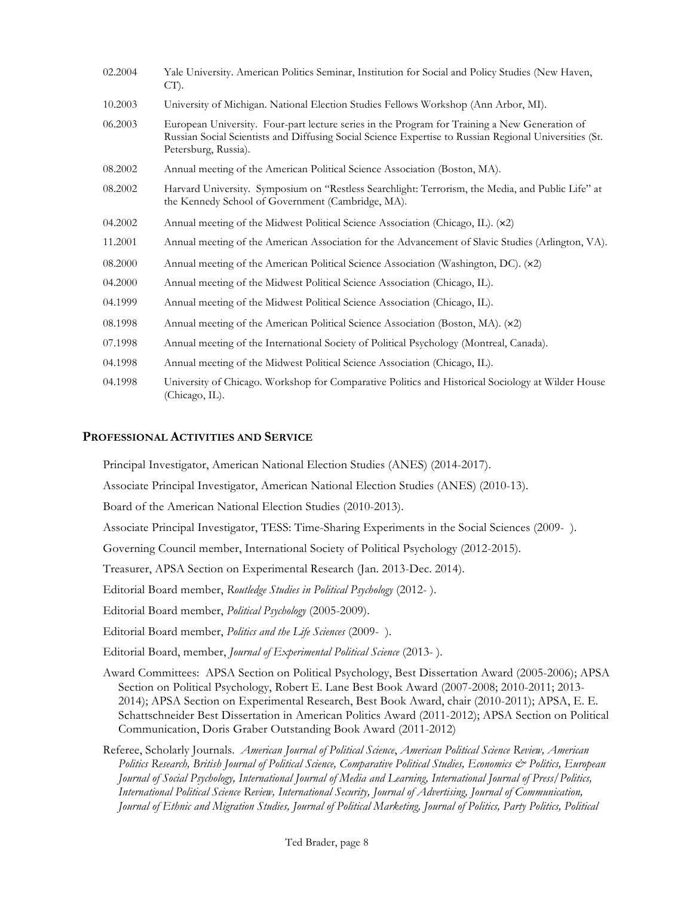| 02.2004 | Yale University. American Politics Seminar, Institution for Social and Policy Studies (New Haven,<br>$CT$ ).                                                                                                                    |
|---------|---------------------------------------------------------------------------------------------------------------------------------------------------------------------------------------------------------------------------------|
| 10.2003 | University of Michigan. National Election Studies Fellows Workshop (Ann Arbor, MI).                                                                                                                                             |
| 06.2003 | European University. Four-part lecture series in the Program for Training a New Generation of<br>Russian Social Scientists and Diffusing Social Science Expertise to Russian Regional Universities (St.<br>Petersburg, Russia). |
| 08.2002 | Annual meeting of the American Political Science Association (Boston, MA).                                                                                                                                                      |
| 08.2002 | Harvard University. Symposium on "Restless Searchlight: Terrorism, the Media, and Public Life" at<br>the Kennedy School of Government (Cambridge, MA).                                                                          |
| 04.2002 | Annual meeting of the Midwest Political Science Association (Chicago, IL). (x2)                                                                                                                                                 |
| 11.2001 | Annual meeting of the American Association for the Advancement of Slavic Studies (Arlington, VA).                                                                                                                               |
| 08.2000 | Annual meeting of the American Political Science Association (Washington, DC). (x2)                                                                                                                                             |
| 04.2000 | Annual meeting of the Midwest Political Science Association (Chicago, IL).                                                                                                                                                      |
| 04.1999 | Annual meeting of the Midwest Political Science Association (Chicago, IL).                                                                                                                                                      |
| 08.1998 | Annual meeting of the American Political Science Association (Boston, MA). (x2)                                                                                                                                                 |
| 07.1998 | Annual meeting of the International Society of Political Psychology (Montreal, Canada).                                                                                                                                         |
| 04.1998 | Annual meeting of the Midwest Political Science Association (Chicago, IL).                                                                                                                                                      |
| 04.1998 | University of Chicago. Workshop for Comparative Politics and Historical Sociology at Wilder House<br>(Chicago, IL).                                                                                                             |

### **PROFESSIONAL ACTIVITIES AND SERVICE**

Principal Investigator, American National Election Studies (ANES) (2014-2017).

Associate Principal Investigator, American National Election Studies (ANES) (2010-13).

Board of the American National Election Studies (2010-2013).

Associate Principal Investigator, TESS: Time-Sharing Experiments in the Social Sciences (2009- ).

Governing Council member, International Society of Political Psychology (2012-2015).

Treasurer, APSA Section on Experimental Research (Jan. 2013-Dec. 2014).

Editorial Board member, *Routledge Studies in Political Psychology* (2012- ).

Editorial Board member, *Political Psychology* (2005-2009).

Editorial Board member, *Politics and the Life Sciences* (2009- ).

Editorial Board, member, *Journal of Experimental Political Science* (2013- ).

Award Committees: APSA Section on Political Psychology, Best Dissertation Award (2005-2006); APSA Section on Political Psychology, Robert E. Lane Best Book Award (2007-2008; 2010-2011; 2013- 2014); APSA Section on Experimental Research, Best Book Award, chair (2010-2011); APSA, E. E. Schattschneider Best Dissertation in American Politics Award (2011-2012); APSA Section on Political Communication, Doris Graber Outstanding Book Award (2011-2012)

Referee, Scholarly Journals. *American Journal of Political Science*, *American Political Science Review, American Politics Research, British Journal of Political Science, Comparative Political Studies, Economics & Politics, European Journal of Social Psychology, International Journal of Media and Learning, International Journal of Press/Politics, International Political Science Review, International Security, Journal of Advertising, Journal of Communication, Journal of Ethnic and Migration Studies, Journal of Political Marketing, Journal of Politics, Party Politics, Political*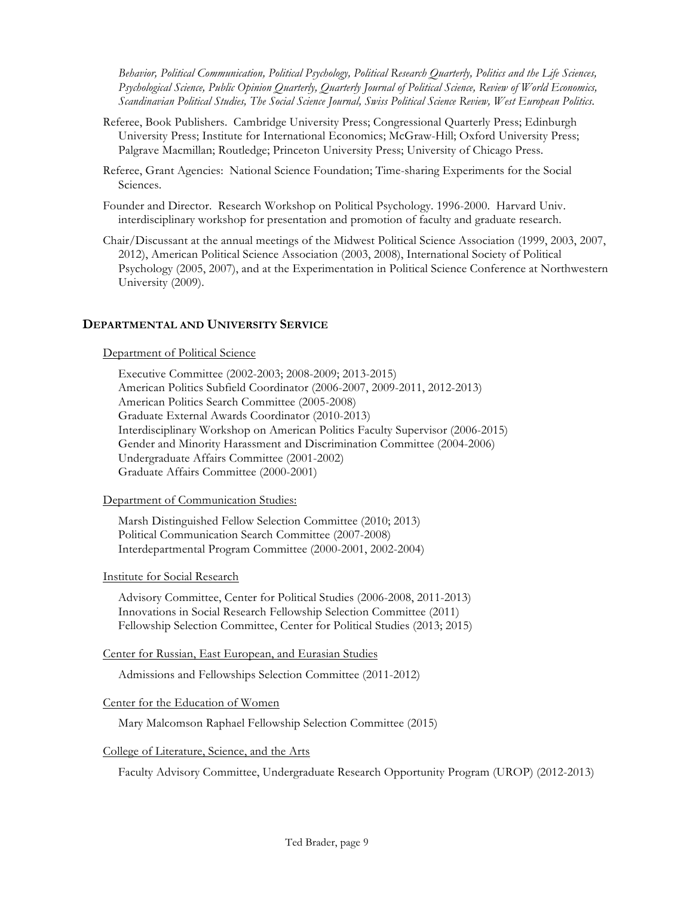*Behavior, Political Communication, Political Psychology, Political Research Quarterly, Politics and the Life Sciences, Psychological Science, Public Opinion Quarterly, Quarterly Journal of Political Science, Review of World Economics, Scandinavian Political Studies, The Social Science Journal, Swiss Political Science Review, West European Politics*.

- Referee, Book Publishers. Cambridge University Press; Congressional Quarterly Press; Edinburgh University Press; Institute for International Economics; McGraw-Hill; Oxford University Press; Palgrave Macmillan; Routledge; Princeton University Press; University of Chicago Press.
- Referee, Grant Agencies: National Science Foundation; Time-sharing Experiments for the Social Sciences.
- Founder and Director. Research Workshop on Political Psychology. 1996-2000. Harvard Univ. interdisciplinary workshop for presentation and promotion of faculty and graduate research.
- Chair/Discussant at the annual meetings of the Midwest Political Science Association (1999, 2003, 2007, 2012), American Political Science Association (2003, 2008), International Society of Political Psychology (2005, 2007), and at the Experimentation in Political Science Conference at Northwestern University (2009).

### **DEPARTMENTAL AND UNIVERSITY SERVICE**

#### Department of Political Science

Executive Committee (2002-2003; 2008-2009; 2013-2015) American Politics Subfield Coordinator (2006-2007, 2009-2011, 2012-2013) American Politics Search Committee (2005-2008) Graduate External Awards Coordinator (2010-2013) Interdisciplinary Workshop on American Politics Faculty Supervisor (2006-2015) Gender and Minority Harassment and Discrimination Committee (2004-2006) Undergraduate Affairs Committee (2001-2002) Graduate Affairs Committee (2000-2001)

#### Department of Communication Studies:

Marsh Distinguished Fellow Selection Committee (2010; 2013) Political Communication Search Committee (2007-2008) Interdepartmental Program Committee (2000-2001, 2002-2004)

#### Institute for Social Research

Advisory Committee, Center for Political Studies (2006-2008, 2011-2013) Innovations in Social Research Fellowship Selection Committee (2011) Fellowship Selection Committee, Center for Political Studies (2013; 2015)

Center for Russian, East European, and Eurasian Studies

Admissions and Fellowships Selection Committee (2011-2012)

### Center for the Education of Women

Mary Malcomson Raphael Fellowship Selection Committee (2015)

#### College of Literature, Science, and the Arts

Faculty Advisory Committee, Undergraduate Research Opportunity Program (UROP) (2012-2013)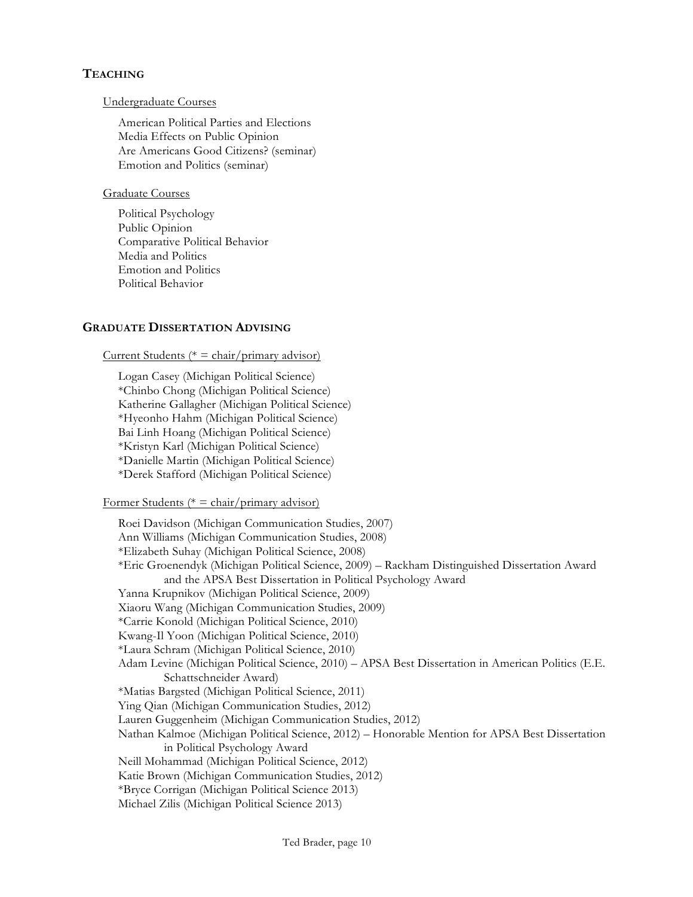# **TEACHING**

#### Undergraduate Courses

American Political Parties and Elections Media Effects on Public Opinion Are Americans Good Citizens? (seminar) Emotion and Politics (seminar)

### Graduate Courses

Political Psychology Public Opinion Comparative Political Behavior Media and Politics Emotion and Politics Political Behavior

# **GRADUATE DISSERTATION ADVISING**

### Current Students ( $* = \text{chair/primary advisor}$ )

Logan Casey (Michigan Political Science) \*Chinbo Chong (Michigan Political Science) Katherine Gallagher (Michigan Political Science) \*Hyeonho Hahm (Michigan Political Science) Bai Linh Hoang (Michigan Political Science) \*Kristyn Karl (Michigan Political Science) \*Danielle Martin (Michigan Political Science) \*Derek Stafford (Michigan Political Science)

#### Former Students ( $* = \text{chair/primary advisor}$ )

Roei Davidson (Michigan Communication Studies, 2007) Ann Williams (Michigan Communication Studies, 2008) \*Elizabeth Suhay (Michigan Political Science, 2008) \*Eric Groenendyk (Michigan Political Science, 2009) – Rackham Distinguished Dissertation Award and the APSA Best Dissertation in Political Psychology Award Yanna Krupnikov (Michigan Political Science, 2009) Xiaoru Wang (Michigan Communication Studies, 2009) \*Carrie Konold (Michigan Political Science, 2010) Kwang-Il Yoon (Michigan Political Science, 2010) \*Laura Schram (Michigan Political Science, 2010) Adam Levine (Michigan Political Science, 2010) – APSA Best Dissertation in American Politics (E.E. Schattschneider Award) \*Matias Bargsted (Michigan Political Science, 2011) Ying Qian (Michigan Communication Studies, 2012) Lauren Guggenheim (Michigan Communication Studies, 2012) Nathan Kalmoe (Michigan Political Science, 2012) – Honorable Mention for APSA Best Dissertation in Political Psychology Award Neill Mohammad (Michigan Political Science, 2012) Katie Brown (Michigan Communication Studies, 2012) \*Bryce Corrigan (Michigan Political Science 2013) Michael Zilis (Michigan Political Science 2013)